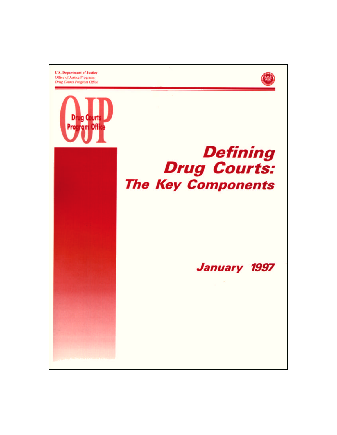**U.S. Department of Justice** Office of Justice Programs Drug Courts Program Office



# **Defining**<br>**Drug Courts: The Key Components**

January 1997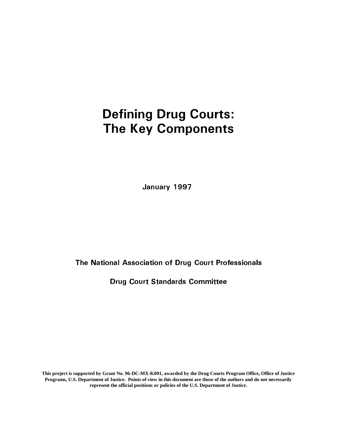# Defining Drug Courts: The Key Components

January 1997

The National Association of Drug Court Professionals

Drug Court Standards Committee

**This project is supported by Grant No. 96-DC-MX-K001, awarded by the Drug Courts Program Office, Office of Justice Programs, U.S. Department of Justice. Points of view in this document are those of the authors and do not necessarily represent the official positions or policies of the U.S. Department of Justice.**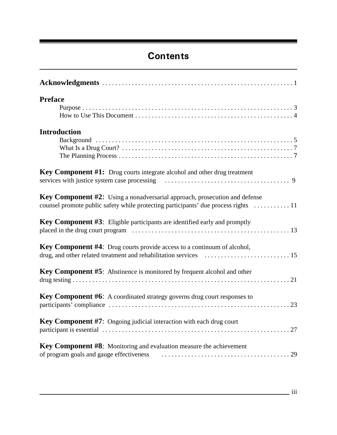# **Contents**

| <b>Preface</b>                                                                  |
|---------------------------------------------------------------------------------|
| <b>Introduction</b>                                                             |
| Key Component #1: Drug courts integrate alcohol and other drug treatment        |
| Key Component #2: Using a nonadversarial approach, prosecution and defense      |
| Key Component #3: Eligible participants are identified early and promptly       |
| <b>Key Component #4:</b> Drug courts provide access to a continuum of alcohol,  |
| Key Component #5: Abstinence is monitored by frequent alcohol and other         |
| <b>Key Component #6:</b> A coordinated strategy governs drug court responses to |
| <b>Key Component #7:</b> Ongoing judicial interaction with each drug court      |
| <b>Key Component #8:</b> Monitoring and evaluation measure the achievement      |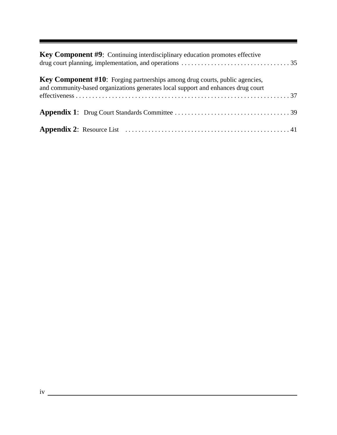| <b>Key Component #9:</b> Continuing interdisciplinary education promotes effective                                                                                      |  |
|-------------------------------------------------------------------------------------------------------------------------------------------------------------------------|--|
|                                                                                                                                                                         |  |
| <b>Key Component #10:</b> Forging partnerships among drug courts, public agencies,<br>and community-based organizations generates local support and enhances drug court |  |
|                                                                                                                                                                         |  |
|                                                                                                                                                                         |  |
|                                                                                                                                                                         |  |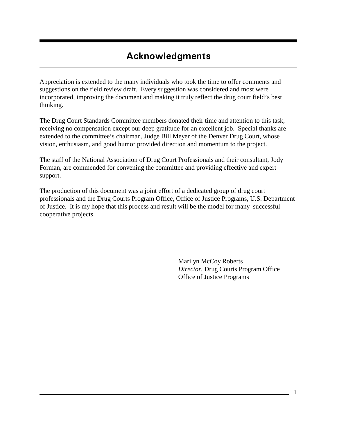# Acknowledgments

Appreciation is extended to the many individuals who took the time to offer comments and suggestions on the field review draft. Every suggestion was considered and most were incorporated, improving the document and making it truly reflect the drug court field's best thinking.

The Drug Court Standards Committee members donated their time and attention to this task, receiving no compensation except our deep gratitude for an excellent job. Special thanks are extended to the committee's chairman, Judge Bill Meyer of the Denver Drug Court, whose vision, enthusiasm, and good humor provided direction and momentum to the project.

The staff of the National Association of Drug Court Professionals and their consultant, Jody Forman, are commended for convening the committee and providing effective and expert support.

The production of this document was a joint effort of a dedicated group of drug court professionals and the Drug Courts Program Office, Office of Justice Programs, U.S. Department of Justice. It is my hope that this process and result will be the model for many successful cooperative projects.

> Marilyn McCoy Roberts *Director*, Drug Courts Program Office Office of Justice Programs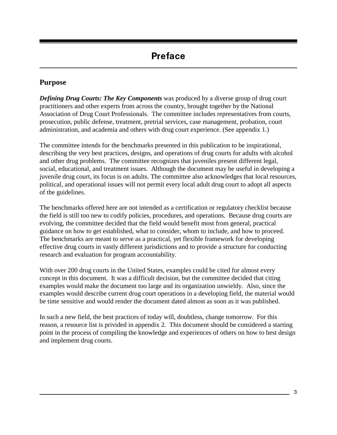### Preface

### **Purpose**

*Defining Drug Courts: The Key Components* was produced by a diverse group of drug court practitioners and other experts from across the country, brought together by the National Association of Drug Court Professionals. The committee includes representatives from courts, prosecution, public defense, treatment, pretrial services, case management, probation, court administration, and academia and others with drug court experience. (See appendix 1.)

The committee intends for the benchmarks presented in this publication to be inspirational, describing the very best practices, designs, and operations of drug courts for adults with alcohol and other drug problems. The committee recognizes that juveniles present different legal, social, educational, and treatment issues. Although the document may be useful in developing a juvenile drug court, its focus is on adults. The committee also acknowledges that local resources, political, and operational issues will not permit every local adult drug court to adopt all aspects of the guidelines.

The benchmarks offered here are not intended as a certification or regulatory checklist because the field is still too new to codify policies, procedures, and operations. Because drug courts are evolving, the committee decided that the field would benefit most from general, practical guidance on how to get established, what to consider, whom to include, and how to proceed. The benchmarks are meant to serve as a practical, yet flexible framework for developing effective drug courts in vastly different jurisdictions and to provide a structure for conducting research and evaluation for program accountability.

With over 200 drug courts in the United States, examples could be cited for almost every concept in this document. It was a difficult decision, but the committee decided that citing examples would make the document too large and its organization unwieldy. Also, since the examples would describe current drug court operations in a developing field, the material would be time sensitive and would render the document dated almost as soon as it was published.

In such a new field, the best practices of today will, doubtless, change tomorrow. For this reason, a resource list is privided in appendix 2. This document should be considered a starting point in the process of compiling the knowledge and experiences of others on how to best design and implement drug courts.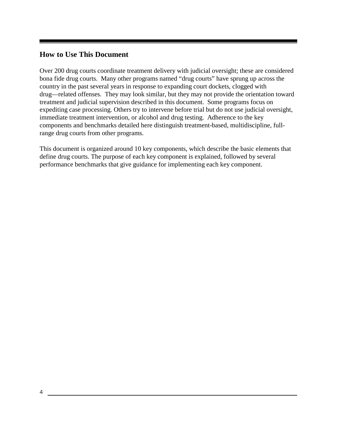#### **How to Use This Document**

Over 200 drug courts coordinate treatment delivery with judicial oversight; these are considered bona fide drug courts. Many other programs named "drug courts" have sprung up across the country in the past several years in response to expanding court dockets, clogged with drug—related offenses. They may look similar, but they may not provide the orientation toward treatment and judicial supervision described in this document. Some programs focus on expediting case processing. Others try to intervene before trial but do not use judicial oversight, immediate treatment intervention, or alcohol and drug testing. Adherence to the key components and benchmarks detailed here distinguish treatment-based, multidiscipline, fullrange drug courts from other programs.

This document is organized around 10 key components, which describe the basic elements that define drug courts. The purpose of each key component is explained, followed by several performance benchmarks that give guidance for implementing each key component.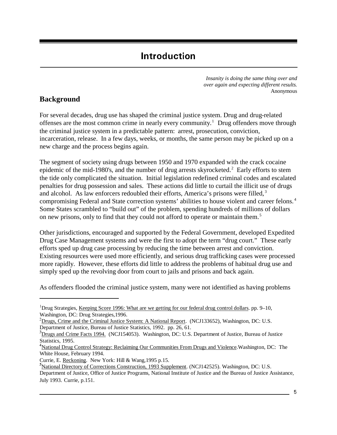### Introduction

*Insanity is doing the same thing over and over again and expecting different results.* Anonymous

### **Background**

For several decades, drug use has shaped the criminal justice system. Drug and drug-related offenses are the most common crime in nearly every community.<sup>1</sup> Drug offenders move through the criminal justice system in a predictable pattern: arrest, prosecution, conviction, incarceration, release. In a few days, weeks, or months, the same person may be picked up on a new charge and the process begins again.

The segment of society using drugs between 1950 and 1970 expanded with the crack cocaine epidemic of the mid-1980's, and the number of drug arrests skyrocketed.<sup>2</sup> Early efforts to stem the tide only complicated the situation. Initial legislation redefined criminal codes and escalated penalties for drug possession and sales. These actions did little to curtail the illicit use of drugs and alcohol. As law enforcers redoubled their efforts, America's prisons were filled,<sup>3</sup> compromising Federal and State correction systems' abilities to house violent and career felons. 4 Some States scrambled to "build out" of the problem, spending hundreds of millions of dollars on new prisons, only to find that they could not afford to operate or maintain them.<sup>5</sup>

Other jurisdictions, encouraged and supported by the Federal Government, developed Expedited Drug Case Management systems and were the first to adopt the term "drug court." These early efforts sped up drug case processing by reducing the time between arrest and conviction. Existing resources were used more efficiently, and serious drug trafficking cases were processed more rapidly. However, these efforts did little to address the problems of habitual drug use and simply sped up the revolving door from court to jails and prisons and back again.

As offenders flooded the criminal justice system, many were not identified as having problems

<sup>&</sup>lt;sup>1</sup>Drug Strategies, <u>Keeping Score 1996: What are we getting for our federal drug control dollars</u>. pp. 9–10, Washington, DC: Drug Strategies,1996.

 $^{2}$ Drugs, Crime and the Criminal Justice System: A National Report. (NCJ133652), Washington, DC: U.S. Department of Justice, Bureau of Justice Statistics, 1992. pp. 26, 61.

 $\rm\frac{3}$ Drugs and Crime Facts 1994. (NCJ154053). Washington, DC: U.S. Department of Justice, Bureau of Justice Statistics, 1995.

<sup>&</sup>lt;sup>4</sup>National Drug Control Strategy: Reclaiming Our Communities From Drugs and Violence. Washington, DC: The White House, February 1994.

Currie, E. Reckoning. New York: Hill & Wang,1995 p.15.

<sup>&</sup>lt;sup>5</sup>National Directory of Corrections Construction, 1993 Supplement. (NCJ142525). Washington, DC: U.S.

Department of Justice, Office of Justice Programs, National Institute of Justice and the Bureau of Justice Assistance, July 1993. Currie, p.151.-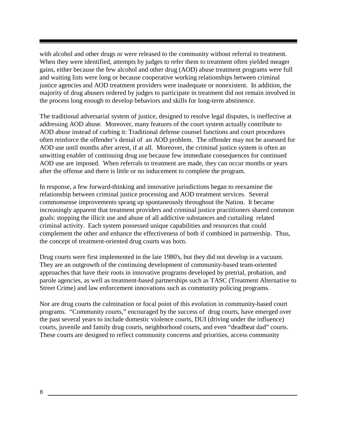with alcohol and other drugs or were released to the community without referral to treatment. When they were identified, attempts by judges to refer them to treatment often yielded meager gains, either because the few alcohol and other drug (AOD) abuse treatment programs were full and waiting lists were long or because cooperative working relationships between criminal justice agencies and AOD treatment providers were inadequate or nonexistent. In addition, the majority of drug abusers ordered by judges to participate in treatment did not remain involved in the process long enough to develop behaviors and skills for long-term abstinence.

The traditional adversarial system of justice, designed to resolve legal disputes, is ineffective at addressing AOD abuse. Moreover, many features of the court system actually contribute to AOD abuse instead of curbing it: Traditional defense counsel functions and court procedures often reinforce the offender's denial of an AOD problem. The offender may not be assessed for AOD use until months after arrest, if at all. Moreover, the criminal justice system is often an unwitting enabler of continuing drug use because few immediate consequences for continued AOD use are imposed. When referrals to treatment are made, they can occur months or years after the offense and there is little or no inducement to complete the program.

In response, a few forward-thinking and innovative jurisdictions began to reexamine the relationship between criminal justice processing and AOD treatment services. Several commonsense improvements sprang up spontaneously throughout the Nation. It became increasingly apparent that treatment providers and criminal justice practitioners shared common goals: stopping the illicit use and abuse of all addictive substances and curtailing related criminal activity. Each system possessed unique capabilities and resources that could complement the other and enhance the effectiveness of both if combined in partnership. Thus, the concept of treatment-oriented drug courts was born.

Drug courts were first implemented in the late 1980's, but they did not develop in a vacuum. They are an outgrowth of the continuing development of community-based team-oriented approaches that have their roots in innovative programs developed by pretrial, probation, and parole agencies, as well as treatment-based partnerships such as TASC (Treatment Alternative to Street Crime) and law enforcement innovations such as community policing programs.

Nor are drug courts the culmination or focal point of this evolution in community-based court programs. "Community courts," encouraged by the success of drug courts, have emerged over the past several years to include domestic violence courts, DUI (driving under the influence) courts, juvenile and family drug courts, neighborhood courts, and even "deadbeat dad" courts. These courts are designed to reflect community concerns and priorities, access community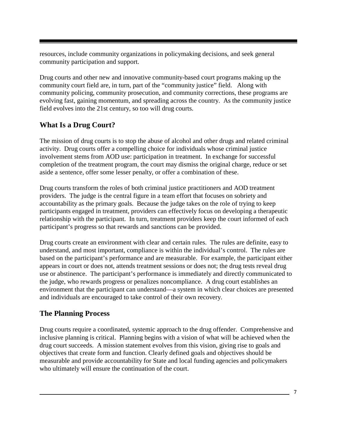resources, include community organizations in policymaking decisions, and seek general community participation and support.

Drug courts and other new and innovative community-based court programs making up the community court field are, in turn, part of the "community justice" field. Along with community policing, community prosecution, and community corrections, these programs are evolving fast, gaining momentum, and spreading across the country. As the community justice field evolves into the 21st century, so too will drug courts.

### **What Is a Drug Court?**

The mission of drug courts is to stop the abuse of alcohol and other drugs and related criminal activity. Drug courts offer a compelling choice for individuals whose criminal justice involvement stems from AOD use: participation in treatment. In exchange for successful completion of the treatment program, the court may dismiss the original charge, reduce or set aside a sentence, offer some lesser penalty, or offer a combination of these.

Drug courts transform the roles of both criminal justice practitioners and AOD treatment providers. The judge is the central figure in a team effort that focuses on sobriety and accountability as the primary goals. Because the judge takes on the role of trying to keep participants engaged in treatment, providers can effectively focus on developing a therapeutic relationship with the participant. In turn, treatment providers keep the court informed of each participant's progress so that rewards and sanctions can be provided.

Drug courts create an environment with clear and certain rules. The rules are definite, easy to understand, and most important, compliance is within the individual's control. The rules are based on the participant's performance and are measurable. For example, the participant either appears in court or does not, attends treatment sessions or does not; the drug tests reveal drug use or abstinence. The participant's performance is immediately and directly communicated to the judge, who rewards progress or penalizes noncompliance. A drug court establishes an environment that the participant can understand—a system in which clear choices are presented and individuals are encouraged to take control of their own recovery.

### **The Planning Process**

Drug courts require a coordinated, systemic approach to the drug offender. Comprehensive and inclusive planning is critical. Planning begins with a vision of what will be achieved when the drug court succeeds. A mission statement evolves from this vision, giving rise to goals and objectives that create form and function. Clearly defined goals and objectives should be measurable and provide accountability for State and local funding agencies and policymakers who ultimately will ensure the continuation of the court.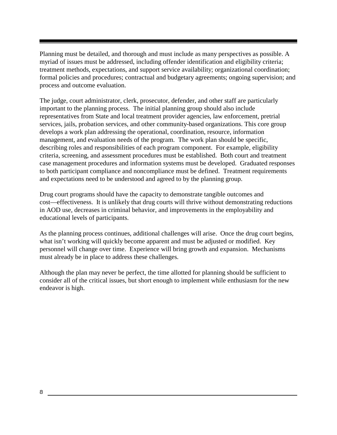Planning must be detailed, and thorough and must include as many perspectives as possible. A myriad of issues must be addressed, including offender identification and eligibility criteria; treatment methods, expectations, and support service availability; organizational coordination; formal policies and procedures; contractual and budgetary agreements; ongoing supervision; and process and outcome evaluation.

The judge, court administrator, clerk, prosecutor, defender, and other staff are particularly important to the planning process. The initial planning group should also include representatives from State and local treatment provider agencies, law enforcement, pretrial services, jails, probation services, and other community-based organizations. This core group develops a work plan addressing the operational, coordination, resource, information management, and evaluation needs of the program. The work plan should be specific, describing roles and responsibilities of each program component. For example, eligibility criteria, screening, and assessment procedures must be established. Both court and treatment case management procedures and information systems must be developed. Graduated responses to both participant compliance and noncompliance must be defined. Treatment requirements and expectations need to be understood and agreed to by the planning group.

Drug court programs should have the capacity to demonstrate tangible outcomes and cost—effectiveness. It is unlikely that drug courts will thrive without demonstrating reductions in AOD use, decreases in criminal behavior, and improvements in the employability and educational levels of participants.

As the planning process continues, additional challenges will arise. Once the drug court begins, what isn't working will quickly become apparent and must be adjusted or modified. Key personnel will change over time. Experience will bring growth and expansion. Mechanisms must already be in place to address these challenges.

Although the plan may never be perfect, the time allotted for planning should be sufficient to consider all of the critical issues, but short enough to implement while enthusiasm for the new endeavor is high.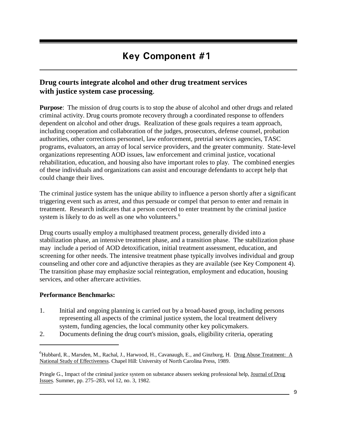### **Drug courts integrate alcohol and other drug treatment services with justice system case processing**.

**Purpose**: The mission of drug courts is to stop the abuse of alcohol and other drugs and related criminal activity. Drug courts promote recovery through a coordinated response to offenders dependent on alcohol and other drugs. Realization of these goals requires a team approach, including cooperation and collaboration of the judges, prosecutors, defense counsel, probation authorities, other corrections personnel, law enforcement, pretrial services agencies, TASC programs, evaluators, an array of local service providers, and the greater community. State-level organizations representing AOD issues, law enforcement and criminal justice, vocational rehabilitation, education, and housing also have important roles to play. The combined energies of these individuals and organizations can assist and encourage defendants to accept help that could change their lives.

The criminal justice system has the unique ability to influence a person shortly after a significant triggering event such as arrest, and thus persuade or compel that person to enter and remain in treatment. Research indicates that a person coerced to enter treatment by the criminal justice system is likely to do as well as one who volunteers.<sup>6</sup>

Drug courts usually employ a multiphased treatment process, generally divided into a stabilization phase, an intensive treatment phase, and a transition phase. The stabilization phase may include a period of AOD detoxification, initial treatment assessment, education, and screening for other needs. The intensive treatment phase typically involves individual and group counseling and other core and adjunctive therapies as they are available (see Key Component 4). The transition phase may emphasize social reintegration, employment and education, housing services, and other aftercare activities.

- 1. Initial and ongoing planning is carried out by a broad-based group, including persons representing all aspects of the criminal justice system, the local treatment delivery system, funding agencies, the local community other key policymakers.
- 2. Documents defining the drug court's mission, goals, eligibility criteria, operating

<sup>&</sup>lt;sup>6</sup>Hubbard, R., Marsden, M., Rachal, J., Harwood, H., Cavanaugh, E., and Ginzburg, H. Drug Abuse Treatment: A National Study of Effectiveness. Chapel Hill: University of North Carolina Press, 1989.

Pringle G., Impact of the criminal justice system on substance abusers seeking professional help, Journal of Drug Issues. Summer, pp. 275–283, vol 12, no. 3, 1982.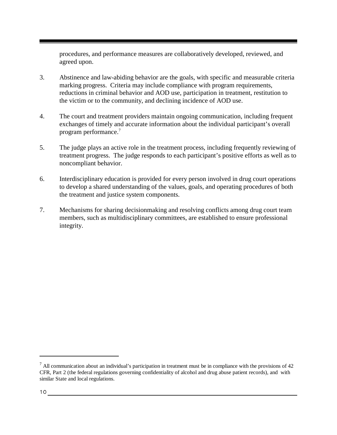procedures, and performance measures are collaboratively developed, reviewed, and agreed upon.

- 3. Abstinence and law-abiding behavior are the goals, with specific and measurable criteria marking progress. Criteria may include compliance with program requirements, reductions in criminal behavior and AOD use, participation in treatment, restitution to the victim or to the community, and declining incidence of AOD use.
- 4. The court and treatment providers maintain ongoing communication, including frequent exchanges of timely and accurate information about the individual participant's overall program performance.7
- 5. The judge plays an active role in the treatment process, including frequently reviewing of treatment progress. The judge responds to each participant's positive efforts as well as to noncompliant behavior.
- 6. Interdisciplinary education is provided for every person involved in drug court operations to develop a shared understanding of the values, goals, and operating procedures of both the treatment and justice system components.
- 7. Mechanisms for sharing decisionmaking and resolving conflicts among drug court team members, such as multidisciplinary committees, are established to ensure professional integrity.

 $^7$  All communication about an individual's participation in treatment must be in compliance with the provisions of 42 CFR, Part 2 (the federal regulations governing confidentiality of alcohol and drug abuse patient records), and with similar State and local regulations.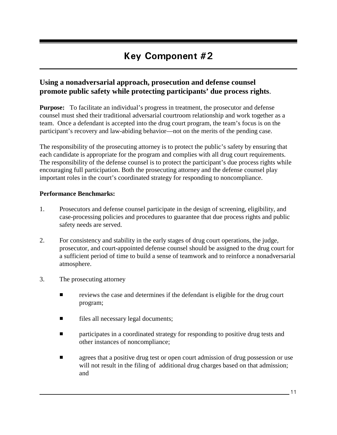### **Using a nonadversarial approach, prosecution and defense counsel promote public safety while protecting participants' due process rights**.

**Purpose:** To facilitate an individual's progress in treatment, the prosecutor and defense counsel must shed their traditional adversarial courtroom relationship and work together as a team. Once a defendant is accepted into the drug court program, the team's focus is on the participant's recovery and law-abiding behavior—not on the merits of the pending case.

The responsibility of the prosecuting attorney is to protect the public's safety by ensuring that each candidate is appropriate for the program and complies with all drug court requirements. The responsibility of the defense counsel is to protect the participant's due process rights while encouraging full participation. Both the prosecuting attorney and the defense counsel play important roles in the court's coordinated strategy for responding to noncompliance.

- 1. Prosecutors and defense counsel participate in the design of screening, eligibility, and case-processing policies and procedures to guarantee that due process rights and public safety needs are served.
- 2. For consistency and stability in the early stages of drug court operations, the judge, prosecutor, and court-appointed defense counsel should be assigned to the drug court for a sufficient period of time to build a sense of teamwork and to reinforce a nonadversarial atmosphere.
- 3. The prosecuting attorney
	- $\blacksquare$  reviews the case and determines if the defendant is eligible for the drug court program;
	- $\blacksquare$ files all necessary legal documents;
	- $\blacksquare$  participates in a coordinated strategy for responding to positive drug tests and other instances of noncompliance;
	- $\blacksquare$  agrees that a positive drug test or open court admission of drug possession or use will not result in the filing of additional drug charges based on that admission; and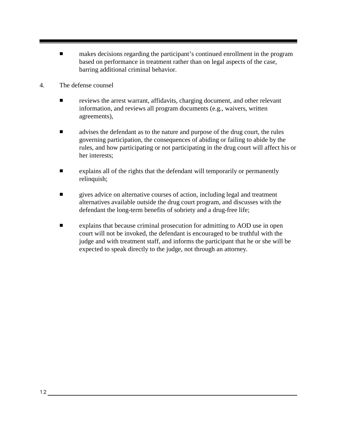- $\blacksquare$  makes decisions regarding the participant's continued enrollment in the program based on performance in treatment rather than on legal aspects of the case, barring additional criminal behavior.
- 4. The defense counsel
	- $\blacksquare$  reviews the arrest warrant, affidavits, charging document, and other relevant information, and reviews all program documents (e.g., waivers, written agreements),
	- $\blacksquare$  advises the defendant as to the nature and purpose of the drug court, the rules governing participation, the consequences of abiding or failing to abide by the rules, and how participating or not participating in the drug court will affect his or her interests;
	- $\blacksquare$  explains all of the rights that the defendant will temporarily or permanently relinquish;
	- $\blacksquare$  gives advice on alternative courses of action, including legal and treatment alternatives available outside the drug court program, and discusses with the defendant the long-term benefits of sobriety and a drug-free life;
	- $\blacksquare$  explains that because criminal prosecution for admitting to AOD use in open court will not be invoked, the defendant is encouraged to be truthful with the judge and with treatment staff, and informs the participant that he or she will be expected to speak directly to the judge, not through an attorney.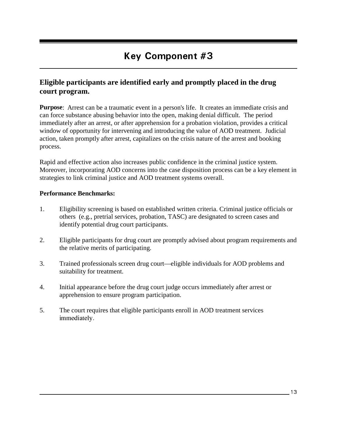### **Eligible participants are identified early and promptly placed in the drug court program.**

**Purpose**: Arrest can be a traumatic event in a person's life. It creates an immediate crisis and can force substance abusing behavior into the open, making denial difficult. The period immediately after an arrest, or after apprehension for a probation violation, provides a critical window of opportunity for intervening and introducing the value of AOD treatment. Judicial action, taken promptly after arrest, capitalizes on the crisis nature of the arrest and booking process.

Rapid and effective action also increases public confidence in the criminal justice system. Moreover, incorporating AOD concerns into the case disposition process can be a key element in strategies to link criminal justice and AOD treatment systems overall.

- 1. Eligibility screening is based on established written criteria. Criminal justice officials or others (e.g., pretrial services, probation, TASC) are designated to screen cases and identify potential drug court participants.
- 2. Eligible participants for drug court are promptly advised about program requirements and the relative merits of participating.
- 3. Trained professionals screen drug court—eligible individuals for AOD problems and suitability for treatment.
- 4. Initial appearance before the drug court judge occurs immediately after arrest or apprehension to ensure program participation.
- 5. The court requires that eligible participants enroll in AOD treatment services immediately.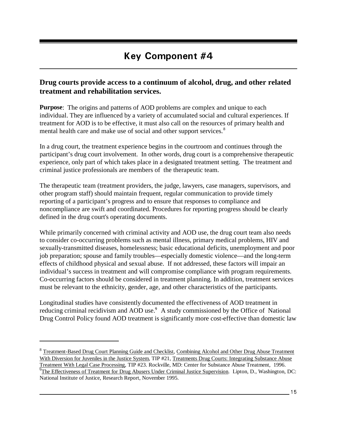### **Drug courts provide access to a continuum of alcohol, drug, and other related treatment and rehabilitation services.**

**Purpose**: The origins and patterns of AOD problems are complex and unique to each individual. They are influenced by a variety of accumulated social and cultural experiences. If treatment for AOD is to be effective, it must also call on the resources of primary health and mental health care and make use of social and other support services. 8

In a drug court, the treatment experience begins in the courtroom and continues through the participant's drug court involvement. In other words, drug court is a comprehensive therapeutic experience, only part of which takes place in a designated treatment setting. The treatment and criminal justice professionals are members of the therapeutic team.

The therapeutic team (treatment providers, the judge, lawyers, case managers, supervisors, and other program staff) should maintain frequent, regular communication to provide timely reporting of a participant's progress and to ensure that responses to compliance and noncompliance are swift and coordinated. Procedures for reporting progress should be clearly defined in the drug court's operating documents.

While primarily concerned with criminal activity and AOD use, the drug court team also needs to consider co-occurring problems such as mental illness, primary medical problems, HIV and sexually-transmitted diseases, homelessness; basic educational deficits, unemployment and poor job preparation; spouse and family troubles—especially domestic violence—and the long-term effects of childhood physical and sexual abuse. If not addressed, these factors will impair an individual's success in treatment and will compromise compliance with program requirements. Co-occurring factors should be considered in treatment planning. In addition, treatment services must be relevant to the ethnicity, gender, age, and other characteristics of the participants.

Longitudinal studies have consistently documented the effectiveness of AOD treatment in reducing criminal recidivism and AOD use.<sup>9</sup> A study commissioned by the Office of National Drug Control Policy found AOD treatment is significantly more cost-effective than domestic law

<sup>&</sup>lt;sup>8</sup> Treatment-Based Drug Court Planning Guide and Checklist, Combining Alcohol and Other Drug Abuse Treatment With Diversion for Juveniles in the Justice System, TIP #21, Treatments Drug Courts: Integrating Substance Abuse Treatment With Legal Case Processing, TIP #23. Rockville, MD: Center for Substance Abuse Treatment, 1996. The Effectiveness of Treatment for Drug Abusers Under Criminal Justice Supervision. Lipton, D., Washington, DC: National Institute of Justice, Research Report, November 1995.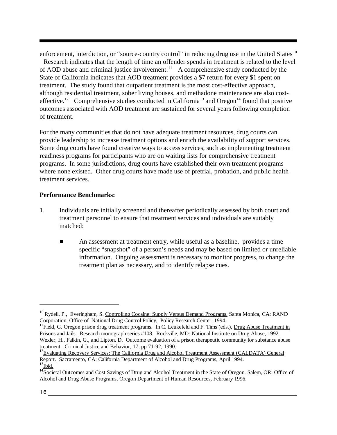enforcement, interdiction, or "source-country control" in reducing drug use in the United States<sup>10</sup> Research indicates that the length of time an offender spends in treatment is related to the level of AOD abuse and criminal justice involvement.<sup>11</sup> A comprehensive study conducted by the State of California indicates that AOD treatment provides a \$7 return for every \$1 spent on treatment. The study found that outpatient treatment is the most cost-effective approach, although residential treatment, sober living houses, and methadone maintenance are also costeffective.<sup>12</sup> Comprehensive studies conducted in California<sup>13</sup> and Oregon<sup>14</sup> found that positive outcomes associated with AOD treatment are sustained for several years following completion of treatment.

For the many communities that do not have adequate treatment resources, drug courts can provide leadership to increase treatment options and enrich the availability of support services. Some drug courts have found creative ways to access services, such as implementing treatment readiness programs for participants who are on waiting lists for comprehensive treatment programs. In some jurisdictions, drug courts have established their own treatment programs where none existed. Other drug courts have made use of pretrial, probation, and public health treatment services.

- 1. Individuals are initially screened and thereafter periodically assessed by both court and treatment personnel to ensure that treatment services and individuals are suitably matched:
	- $\blacksquare$  An assessment at treatment entry, while useful as a baseline, provides a time specific "snapshot" of a person's needs and may be based on limited or unreliable information. Ongoing assessment is necessary to monitor progress, to change the treatment plan as necessary, and to identify relapse cues.

<sup>&</sup>lt;sup>10</sup> Rydell, P., Everingham, S. Controlling Cocaine: Supply Versus Demand Programs. Santa Monica, CA: RAND Corporation, Office of National Drug Control Policy, Policy Research Center, 1994.

 $11$ Field, G. Oregon prison drug treatment programs. In C. Leukefeld and F. Tims (eds.), Drug Abuse Treatment in Prisons and Jails. Research monograph series #108. Rockville, MD: National Institute on Drug Abuse, 1992. Wexler, H., Falkin, G., and Lipton, D. Outcome evaluation of a prison therapeutic community for substance abuse treatment. Criminal Justice and Behavior, 17, pp 71-92, 1990.

<sup>&</sup>lt;sup>12</sup>Evaluating Recovery Services: The California Drug and Alcohol Treatment Assessment (CALDATA) General Report. Sacramento, CA: California Department of Alcohol and Drug Programs, April 1994.

 $^{13}$ Ibid.

<sup>&</sup>lt;sup>14</sup>Societal Outcomes and Cost Savings of Drug and Alcohol Treatment in the State of Oregon. Salem, OR: Office of Alcohol and Drug Abuse Programs, Oregon Department of Human Resources, February 1996.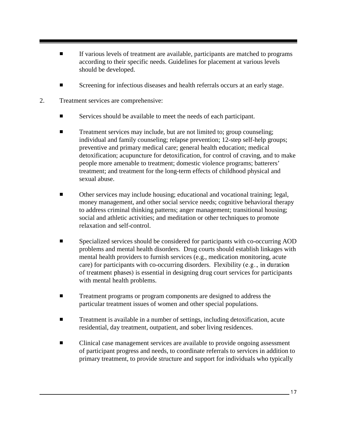- $\blacksquare$  If various levels of treatment are available, participants are matched to programs according to their specific needs. Guidelines for placement at various levels should be developed.
- $\blacksquare$ Screening for infectious diseases and health referrals occurs at an early stage.
- 2. Treatment services are comprehensive:
	- $\blacksquare$ Services should be available to meet the needs of each participant.
	- $\blacksquare$  Treatment services may include, but are not limited to; group counseling; individual and family counseling; relapse prevention; 12-step self-help groups; preventive and primary medical care; general health education; medical detoxification; acupuncture for detoxification, for control of craving, and to make people more amenable to treatment; domestic violence programs; batterers' treatment; and treatment for the long-term effects of childhood physical and sexual abuse.
	- $\blacksquare$  Other services may include housing; educational and vocational training; legal, money management, and other social service needs; cognitive behavioral therapy to address criminal thinking patterns; anger management; transitional housing; social and athletic activities; and meditation or other techniques to promote relaxation and self-control.
	- $\blacksquare$  Specialized services should be considered for participants with co-occurring AOD problems and mental health disorders. Drug courts should establish linkages with mental health providers to furnish services (e.g., medication monitoring, acute care) for participants with co-occurring disorders. Flexibility  $(e.g., in duration)$ of treatment phases) is essential in designing drug court services for participants with mental health problems.
	- $\blacksquare$  Treatment programs or program components are designed to address the particular treatment issues of women and other special populations.
	- $\blacksquare$  Treatment is available in a number of settings, including detoxification, acute residential, day treatment, outpatient, and sober living residences.
	- $\blacksquare$  Clinical case management services are available to provide ongoing assessment of participant progress and needs, to coordinate referrals to services in addition to primary treatment, to provide structure and support for individuals who typically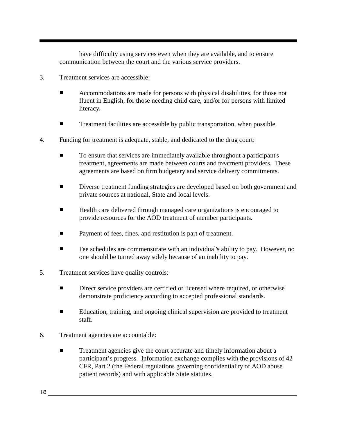have difficulty using services even when they are available, and to ensure communication between the court and the various service providers.

- 3. Treatment services are accessible:
	- $\blacksquare$  Accommodations are made for persons with physical disabilities, for those not fluent in English, for those needing child care, and/or for persons with limited literacy.
	- $\blacksquare$ Treatment facilities are accessible by public transportation, when possible.
- 4. Funding for treatment is adequate, stable, and dedicated to the drug court:
	- $\blacksquare$  To ensure that services are immediately available throughout a participant's treatment, agreements are made between courts and treatment providers. These agreements are based on firm budgetary and service delivery commitments.
	- $\blacksquare$  Diverse treatment funding strategies are developed based on both government and private sources at national, State and local levels.
	- $\blacksquare$  Health care delivered through managed care organizations is encouraged to provide resources for the AOD treatment of member participants.
	- $\blacksquare$ Payment of fees, fines, and restitution is part of treatment.
	- $\blacksquare$  Fee schedules are commensurate with an individual's ability to pay. However, no one should be turned away solely because of an inability to pay.
- 5. Treatment services have quality controls:
	- $\blacksquare$  Direct service providers are certified or licensed where required, or otherwise demonstrate proficiency according to accepted professional standards.
	- $\blacksquare$  Education, training, and ongoing clinical supervision are provided to treatment staff.
- 6. Treatment agencies are accountable:
	- $\blacksquare$  Treatment agencies give the court accurate and timely information about a participant's progress. Information exchange complies with the provisions of 42 CFR, Part 2 (the Federal regulations governing confidentiality of AOD abuse patient records) and with applicable State statutes.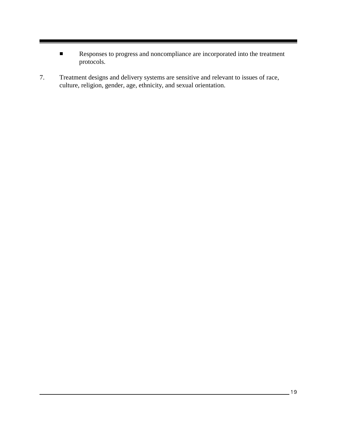- $\blacksquare$  Responses to progress and noncompliance are incorporated into the treatment protocols.
- 7. Treatment designs and delivery systems are sensitive and relevant to issues of race, culture, religion, gender, age, ethnicity, and sexual orientation.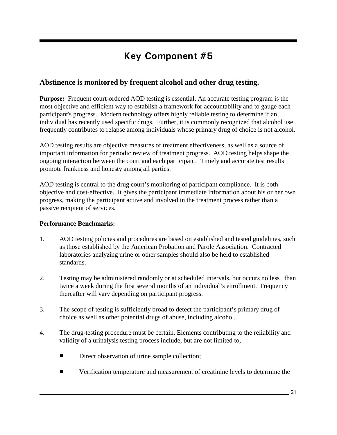### **Abstinence is monitored by frequent alcohol and other drug testing.**

**Purpose:** Frequent court-ordered AOD testing is essential. An accurate testing program is the most objective and efficient way to establish a framework for accountability and to gauge each participant's progress. Modern technology offers highly reliable testing to determine if an individual has recently used specific drugs. Further, it is commonly recognized that alcohol use frequently contributes to relapse among individuals whose primary drug of choice is not alcohol.

AOD testing results are objective measures of treatment effectiveness, as well as a source of important information for periodic review of treatment progress. AOD testing helps shape the ongoing interaction between the court and each participant. Timely and accurate test results promote frankness and honesty among all parties.

AOD testing is central to the drug court's monitoring of participant compliance. It is both objective and cost-effective. It gives the participant immediate information about his or her own progress, making the participant active and involved in the treatment process rather than a passive recipient of services.

- 1. AOD testing policies and procedures are based on established and tested guidelines, such as those established by the American Probation and Parole Association. Contracted laboratories analyzing urine or other samples should also be held to established standards.
- 2. Testing may be administered randomly or at scheduled intervals, but occurs no less than twice a week during the first several months of an individual's enrollment. Frequency thereafter will vary depending on participant progress.
- 3. The scope of testing is sufficiently broad to detect the participant's primary drug of choice as well as other potential drugs of abuse, including alcohol.
- 4. The drug-testing procedure must be certain. Elements contributing to the reliability and validity of a urinalysis testing process include, but are not limited to,
	- $\blacksquare$ Direct observation of urine sample collection;
	- $\blacksquare$ Verification temperature and measurement of creatinine levels to determine the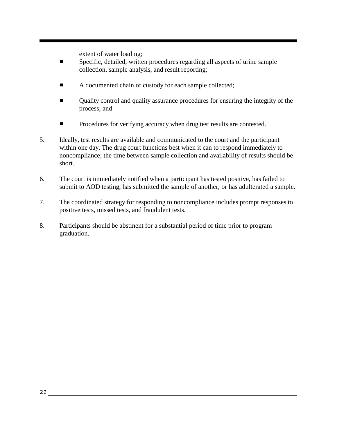extent of water loading;

- $\blacksquare$  Specific, detailed, written procedures regarding all aspects of urine sample collection, sample analysis, and result reporting;
- $\blacksquare$ A documented chain of custody for each sample collected;
- $\blacksquare$  Quality control and quality assurance procedures for ensuring the integrity of the process; and
- $\blacksquare$ Procedures for verifying accuracy when drug test results are contested.
- 5. Ideally, test results are available and communicated to the court and the participant within one day. The drug court functions best when it can to respond immediately to noncompliance; the time between sample collection and availability of results should be short.
- 6. The court is immediately notified when a participant has tested positive, has failed to submit to AOD testing, has submitted the sample of another, or has adulterated a sample.
- 7. The coordinated strategy for responding to noncompliance includes prompt responses to positive tests, missed tests, and fraudulent tests.
- 8. Participants should be abstinent for a substantial period of time prior to program graduation.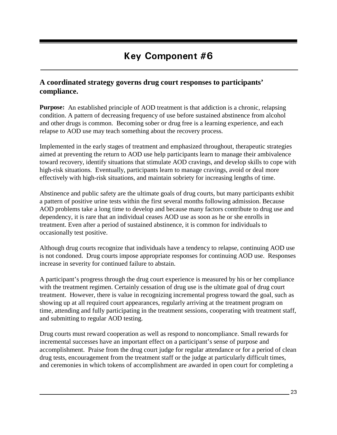### **A coordinated strategy governs drug court responses to participants' compliance.**

**Purpose:** An established principle of AOD treatment is that addiction is a chronic, relapsing condition. A pattern of decreasing frequency of use before sustained abstinence from alcohol and other drugs is common. Becoming sober or drug free is a learning experience, and each relapse to AOD use may teach something about the recovery process.

Implemented in the early stages of treatment and emphasized throughout, therapeutic strategies aimed at preventing the return to AOD use help participants learn to manage their ambivalence toward recovery, identify situations that stimulate AOD cravings, and develop skills to cope with high-risk situations. Eventually, participants learn to manage cravings, avoid or deal more effectively with high-risk situations, and maintain sobriety for increasing lengths of time.

Abstinence and public safety are the ultimate goals of drug courts, but many participants exhibit a pattern of positive urine tests within the first several months following admission. Because AOD problems take a long time to develop and because many factors contribute to drug use and dependency, it is rare that an individual ceases AOD use as soon as he or she enrolls in treatment. Even after a period of sustained abstinence, it is common for individuals to occasionally test positive.

Although drug courts recognize that individuals have a tendency to relapse, continuing AOD use is not condoned. Drug courts impose appropriate responses for continuing AOD use. Responses increase in severity for continued failure to abstain.

A participant's progress through the drug court experience is measured by his or her compliance with the treatment regimen. Certainly cessation of drug use is the ultimate goal of drug court treatment. However, there is value in recognizing incremental progress toward the goal, such as showing up at all required court appearances, regularly arriving at the treatment program on time, attending and fully participating in the treatment sessions, cooperating with treatment staff, and submitting to regular AOD testing.

Drug courts must reward cooperation as well as respond to noncompliance. Small rewards for incremental successes have an important effect on a participant's sense of purpose and accomplishment. Praise from the drug court judge for regular attendance or for a period of clean drug tests, encouragement from the treatment staff or the judge at particularly difficult times, and ceremonies in which tokens of accomplishment are awarded in open court for completing a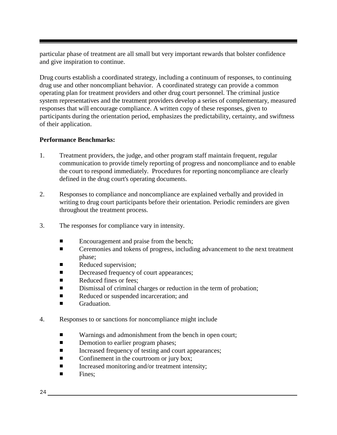particular phase of treatment are all small but very important rewards that bolster confidence and give inspiration to continue.

Drug courts establish a coordinated strategy, including a continuum of responses, to continuing drug use and other noncompliant behavior. A coordinated strategy can provide a common operating plan for treatment providers and other drug court personnel. The criminal justice system representatives and the treatment providers develop a series of complementary, measured responses that will encourage compliance. A written copy of these responses, given to participants during the orientation period, emphasizes the predictability, certainty, and swiftness of their application.

- 1. Treatment providers, the judge, and other program staff maintain frequent, regular communication to provide timely reporting of progress and noncompliance and to enable the court to respond immediately. Procedures for reporting noncompliance are clearly defined in the drug court's operating documents.
- 2. Responses to compliance and noncompliance are explained verbally and provided in writing to drug court participants before their orientation. Periodic reminders are given throughout the treatment process.
- 3. The responses for compliance vary in intensity.
	- $\blacksquare$ Encouragement and praise from the bench;
	- $\blacksquare$  Ceremonies and tokens of progress, including advancement to the next treatment phase;
	- $\blacksquare$ Reduced supervision;
	- $\blacksquare$ Decreased frequency of court appearances;
	- $\blacksquare$ Reduced fines or fees;
	- $\blacksquare$ Dismissal of criminal charges or reduction in the term of probation;
	- $\blacksquare$ Reduced or suspended incarceration; and
	- $\blacksquare$ Graduation.
- 4. Responses to or sanctions for noncompliance might include
	- $\blacksquare$ Warnings and admonishment from the bench in open court;
	- $\blacksquare$ Demotion to earlier program phases;
	- $\blacksquare$ Increased frequency of testing and court appearances;
	- $\blacksquare$ Confinement in the courtroom or jury box;
	- $\blacksquare$ Increased monitoring and/or treatment intensity;
	- Ē Fines;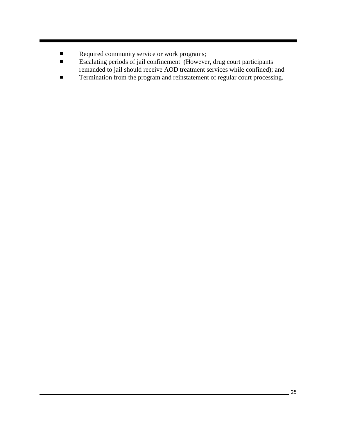- $\blacksquare$ Required community service or work programs;
- $\blacksquare$  Escalating periods of jail confinement (However, drug court participants remanded to jail should receive AOD treatment services while confined); and
- $\blacksquare$ Termination from the program and reinstatement of regular court processing.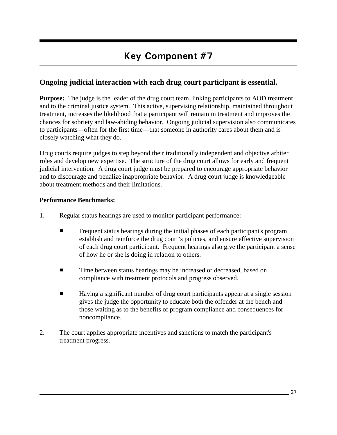### **Ongoing judicial interaction with each drug court participant is essential.**

**Purpose:** The judge is the leader of the drug court team, linking participants to AOD treatment and to the criminal justice system. This active, supervising relationship, maintained throughout treatment, increases the likelihood that a participant will remain in treatment and improves the chances for sobriety and law-abiding behavior. Ongoing judicial supervision also communicates to participants—often for the first time—that someone in authority cares about them and is closely watching what they do.

Drug courts require judges to step beyond their traditionally independent and objective arbiter roles and develop new expertise. The structure of the drug court allows for early and frequent judicial intervention. A drug court judge must be prepared to encourage appropriate behavior and to discourage and penalize inappropriate behavior. A drug court judge is knowledgeable about treatment methods and their limitations.

- 1. Regular status hearings are used to monitor participant performance:
	- $\blacksquare$  Frequent status hearings during the initial phases of each participant's program establish and reinforce the drug court's policies, and ensure effective supervision of each drug court participant. Frequent hearings also give the participant a sense of how he or she is doing in relation to others.
	- $\blacksquare$  Time between status hearings may be increased or decreased, based on compliance with treatment protocols and progress observed.
	- $\blacksquare$  Having a significant number of drug court participants appear at a single session gives the judge the opportunity to educate both the offender at the bench and those waiting as to the benefits of program compliance and consequences for noncompliance.
- 2. The court applies appropriate incentives and sanctions to match the participant's treatment progress.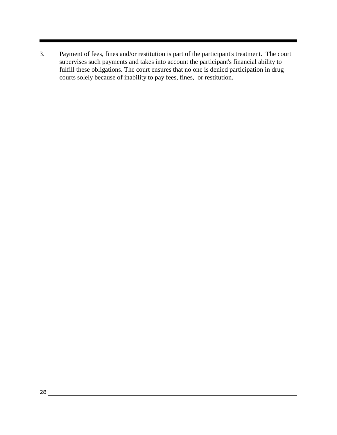3. Payment of fees, fines and/or restitution is part of the participant's treatment. The court supervises such payments and takes into account the participant's financial ability to fulfill these obligations. The court ensures that no one is denied participation in drug courts solely because of inability to pay fees, fines, or restitution.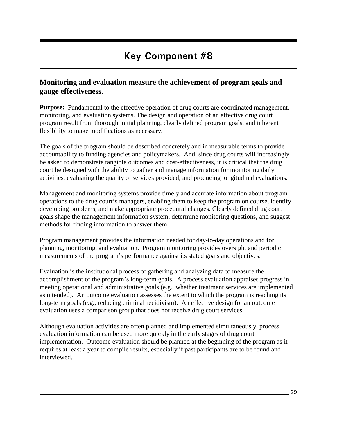### **Monitoring and evaluation measure the achievement of program goals and gauge effectiveness.**

**Purpose:** Fundamental to the effective operation of drug courts are coordinated management, monitoring, and evaluation systems. The design and operation of an effective drug court program result from thorough initial planning, clearly defined program goals, and inherent flexibility to make modifications as necessary.

The goals of the program should be described concretely and in measurable terms to provide accountability to funding agencies and policymakers. And, since drug courts will increasingly be asked to demonstrate tangible outcomes and cost-effectiveness, it is critical that the drug court be designed with the ability to gather and manage information for monitoring daily activities, evaluating the quality of services provided, and producing longitudinal evaluations.

Management and monitoring systems provide timely and accurate information about program operations to the drug court's managers, enabling them to keep the program on course, identify developing problems, and make appropriate procedural changes. Clearly defined drug court goals shape the management information system, determine monitoring questions, and suggest methods for finding information to answer them.

Program management provides the information needed for day-to-day operations and for planning, monitoring, and evaluation. Program monitoring provides oversight and periodic measurements of the program's performance against its stated goals and objectives.

Evaluation is the institutional process of gathering and analyzing data to measure the accomplishment of the program's long-term goals. A process evaluation appraises progress in meeting operational and administrative goals (e.g., whether treatment services are implemented as intended). An outcome evaluation assesses the extent to which the program is reaching its long-term goals (e.g., reducing criminal recidivism). An effective design for an outcome evaluation uses a comparison group that does not receive drug court services.

Although evaluation activities are often planned and implemented simultaneously, process evaluation information can be used more quickly in the early stages of drug court implementation. Outcome evaluation should be planned at the beginning of the program as it requires at least a year to compile results, especially if past participants are to be found and interviewed.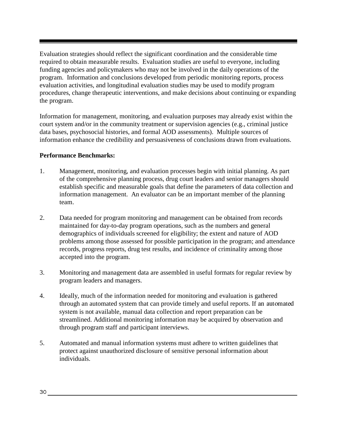Evaluation strategies should reflect the significant coordination and the considerable time required to obtain measurable results. Evaluation studies are useful to everyone, including funding agencies and policymakers who may not be involved in the daily operations of the program. Information and conclusions developed from periodic monitoring reports, process evaluation activities, and longitudinal evaluation studies may be used to modify program procedures, change therapeutic interventions, and make decisions about continuing or expanding the program.

Information for management, monitoring, and evaluation purposes may already exist within the court system and/or in the community treatment or supervision agencies (e.g., criminal justice data bases, psychosocial histories, and formal AOD assessments). Multiple sources of information enhance the credibility and persuasiveness of conclusions drawn from evaluations.

- 1. Management, monitoring, and evaluation processes begin with initial planning. As part of the comprehensive planning process, drug court leaders and senior managers should establish specific and measurable goals that define the parameters of data collection and information management. An evaluator can be an important member of the planning team.
- 2. Data needed for program monitoring and management can be obtained from records maintained for day-to-day program operations, such as the numbers and general demographics of individuals screened for eligibility; the extent and nature of AOD problems among those assessed for possible participation in the program; and attendance records, progress reports, drug test results, and incidence of criminality among those accepted into the program.
- 3. Monitoring and management data are assembled in useful formats for regular review by program leaders and managers.
- 4. Ideally, much of the information needed for monitoring and evaluation is gathered through an automated system that can provide timely and useful reports. If an automated system is not available, manual data collection and report preparation can be streamlined. Additional monitoring information may be acquired by observation and through program staff and participant interviews.
- 5. Automated and manual information systems must adhere to written guidelines that protect against unauthorized disclosure of sensitive personal information about individuals.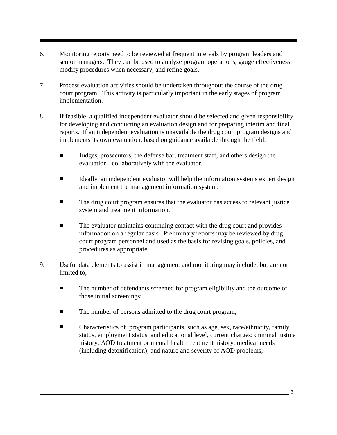- 6. Monitoring reports need to be reviewed at frequent intervals by program leaders and senior managers. They can be used to analyze program operations, gauge effectiveness, modify procedures when necessary, and refine goals.
- 7. Process evaluation activities should be undertaken throughout the course of the drug court program. This activity is particularly important in the early stages of program implementation.
- 8. If feasible, a qualified independent evaluator should be selected and given responsibility for developing and conducting an evaluation design and for preparing interim and final reports. If an independent evaluation is unavailable the drug court program designs and implements its own evaluation, based on guidance available through the field.
	- $\blacksquare$  Judges, prosecutors, the defense bar, treatment staff, and others design the evaluation collaboratively with the evaluator.
	- $\blacksquare$  Ideally, an independent evaluator will help the information systems expert design and implement the management information system.
	- $\blacksquare$  The drug court program ensures that the evaluator has access to relevant justice system and treatment information.
	- $\blacksquare$  The evaluator maintains continuing contact with the drug court and provides information on a regular basis. Preliminary reports may be reviewed by drug court program personnel and used as the basis for revising goals, policies, and procedures as appropriate.
- 9. Useful data elements to assist in management and monitoring may include, but are not limited to,
	- $\blacksquare$  The number of defendants screened for program eligibility and the outcome of those initial screenings;
	- $\blacksquare$ The number of persons admitted to the drug court program;
	- $\blacksquare$  Characteristics of program participants, such as age, sex, race/ethnicity, family status, employment status, and educational level, current charges; criminal justice history; AOD treatment or mental health treatment history; medical needs (including detoxification); and nature and severity of AOD problems;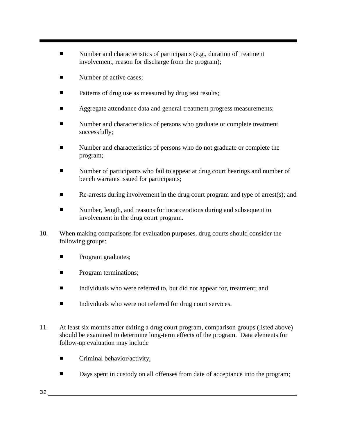- $\blacksquare$  Number and characteristics of participants (e.g., duration of treatment involvement, reason for discharge from the program);
- $\blacksquare$ Number of active cases;
- $\blacksquare$ Patterns of drug use as measured by drug test results;
- $\blacksquare$ Aggregate attendance data and general treatment progress measurements;
- $\blacksquare$  Number and characteristics of persons who graduate or complete treatment successfully;
- $\blacksquare$  Number and characteristics of persons who do not graduate or complete the program;
- $\blacksquare$  Number of participants who fail to appear at drug court hearings and number of bench warrants issued for participants;
- $\blacksquare$ Re-arrests during involvement in the drug court program and type of arrest(s); and
- $\blacksquare$  Number, length, and reasons for incarcerations during and subsequent to involvement in the drug court program.
- 10. When making comparisons for evaluation purposes, drug courts should consider the following groups:
	- $\blacksquare$ Program graduates;
	- $\blacksquare$ Program terminations;
	- $\blacksquare$ Individuals who were referred to, but did not appear for, treatment; and
	- $\blacksquare$ Individuals who were not referred for drug court services.
- 11. At least six months after exiting a drug court program, comparison groups (listed above) should be examined to determine long-term effects of the program. Data elements for follow-up evaluation may include
	- $\blacksquare$ Criminal behavior/activity;
	- $\blacksquare$ Days spent in custody on all offenses from date of acceptance into the program;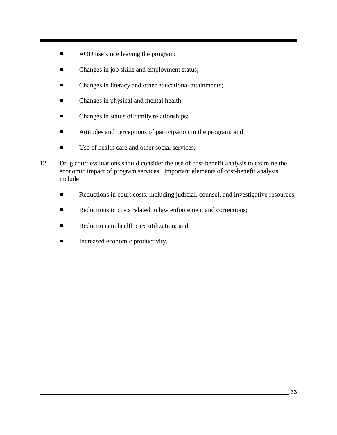- $\blacksquare$ AOD use since leaving the program;
- $\blacksquare$ Changes in job skills and employment status;
- $\blacksquare$ Changes in literacy and other educational attainments;
- $\blacksquare$ Changes in physical and mental health;
- $\blacksquare$ Changes in status of family relationships;
- $\blacksquare$ Attitudes and perceptions of participation in the program; and
- $\blacksquare$ Use of health care and other social services.
- 12. Drug court evaluations should consider the use of cost-benefit analysis to examine the economic impact of program services. Important elements of cost-benefit analysis include
	- $\blacksquare$ Reductions in court costs, including judicial, counsel, and investigative resources;
	- $\blacksquare$ Reductions in costs related to law enforcement and corrections;
	- $\blacksquare$ Reductions in health care utilization; and
	- $\blacksquare$ Increased economic productivity.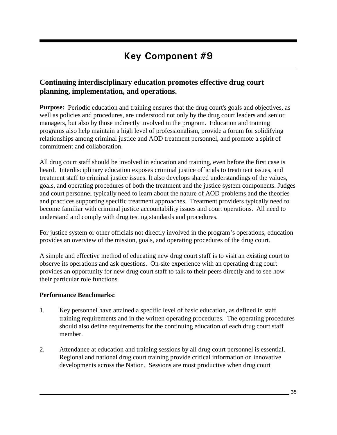### **Continuing interdisciplinary education promotes effective drug court planning, implementation, and operations.**

**Purpose:** Periodic education and training ensures that the drug court's goals and objectives, as well as policies and procedures, are understood not only by the drug court leaders and senior managers, but also by those indirectly involved in the program. Education and training programs also help maintain a high level of professionalism, provide a forum for solidifying relationships among criminal justice and AOD treatment personnel, and promote a spirit of commitment and collaboration.

All drug court staff should be involved in education and training, even before the first case is heard. Interdisciplinary education exposes criminal justice officials to treatment issues, and treatment staff to criminal justice issues. It also develops shared understandings of the values, goals, and operating procedures of both the treatment and the justice system components. Judges and court personnel typically need to learn about the nature of AOD problems and the theories and practices supporting specific treatment approaches. Treatment providers typically need to become familiar with criminal justice accountability issues and court operations. All need to understand and comply with drug testing standards and procedures.

For justice system or other officials not directly involved in the program's operations, education provides an overview of the mission, goals, and operating procedures of the drug court.

A simple and effective method of educating new drug court staff is to visit an existing court to observe its operations and ask questions. On-site experience with an operating drug court provides an opportunity for new drug court staff to talk to their peers directly and to see how their particular role functions.

- 1. Key personnel have attained a specific level of basic education, as defined in staff training requirements and in the written operating procedures. The operating procedures should also define requirements for the continuing education of each drug court staff member.
- 2. Attendance at education and training sessions by all drug court personnel is essential. Regional and national drug court training provide critical information on innovative developments across the Nation. Sessions are most productive when drug court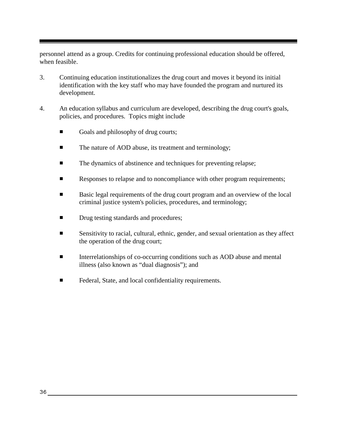personnel attend as a group. Credits for continuing professional education should be offered, when feasible.

- 3. Continuing education institutionalizes the drug court and moves it beyond its initial identification with the key staff who may have founded the program and nurtured its development.
- 4. An education syllabus and curriculum are developed, describing the drug court's goals, policies, and procedures. Topics might include
	- $\blacksquare$ Goals and philosophy of drug courts;
	- $\blacksquare$ The nature of AOD abuse, its treatment and terminology;
	- $\blacksquare$ The dynamics of abstinence and techniques for preventing relapse;
	- $\blacksquare$ Responses to relapse and to noncompliance with other program requirements;
	- $\blacksquare$  Basic legal requirements of the drug court program and an overview of the local criminal justice system's policies, procedures, and terminology;
	- $\blacksquare$ Drug testing standards and procedures;
	- $\blacksquare$  Sensitivity to racial, cultural, ethnic, gender, and sexual orientation as they affect the operation of the drug court;
	- $\blacksquare$  Interrelationships of co-occurring conditions such as AOD abuse and mental illness (also known as "dual diagnosis"); and
	- $\blacksquare$ Federal, State, and local confidentiality requirements.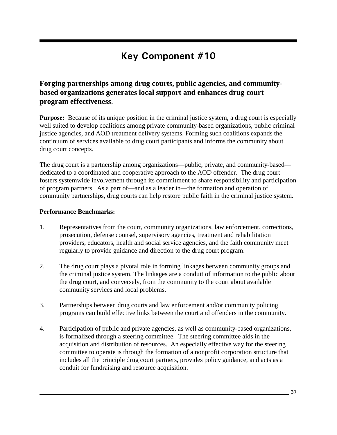### **Forging partnerships among drug courts, public agencies, and communitybased organizations generates local support and enhances drug court program effectiveness**.

**Purpose:** Because of its unique position in the criminal justice system, a drug court is especially well suited to develop coalitions among private community-based organizations, public criminal justice agencies, and AOD treatment delivery systems. Forming such coalitions expands the continuum of services available to drug court participants and informs the community about drug court concepts.

The drug court is a partnership among organizations—public, private, and community-based dedicated to a coordinated and cooperative approach to the AOD offender. The drug court fosters systemwide involvement through its commitment to share responsibility and participation of program partners. As a part of—and as a leader in—the formation and operation of community partnerships, drug courts can help restore public faith in the criminal justice system.

- 1. Representatives from the court, community organizations, law enforcement, corrections, prosecution, defense counsel, supervisory agencies, treatment and rehabilitation providers, educators, health and social service agencies, and the faith community meet regularly to provide guidance and direction to the drug court program.
- 2. The drug court plays a pivotal role in forming linkages between community groups and the criminal justice system. The linkages are a conduit of information to the public about the drug court, and conversely, from the community to the court about available community services and local problems.
- 3. Partnerships between drug courts and law enforcement and/or community policing programs can build effective links between the court and offenders in the community.
- 4. Participation of public and private agencies, as well as community-based organizations, is formalized through a steering committee. The steering committee aids in the acquisition and distribution of resources. An especially effective way for the steering committee to operate is through the formation of a nonprofit corporation structure that includes all the principle drug court partners, provides policy guidance, and acts as a conduit for fundraising and resource acquisition.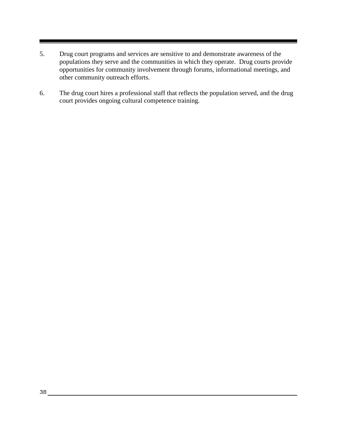- 5. Drug court programs and services are sensitive to and demonstrate awareness of the populations they serve and the communities in which they operate. Drug courts provide opportunities for community involvement through forums, informational meetings, and other community outreach efforts.
- 6. The drug court hires a professional staff that reflects the population served, and the drug court provides ongoing cultural competence training.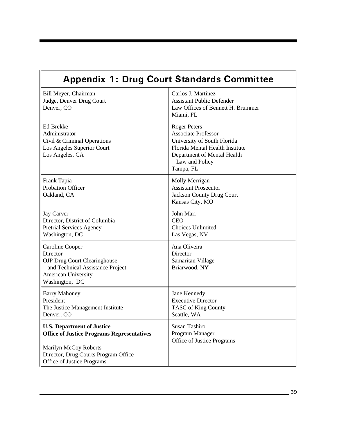| <b>Appendix 1: Drug Court Standards Committee</b>                                                                                                                                     |                                                                                                                                                                                   |  |
|---------------------------------------------------------------------------------------------------------------------------------------------------------------------------------------|-----------------------------------------------------------------------------------------------------------------------------------------------------------------------------------|--|
| Bill Meyer, Chairman<br>Judge, Denver Drug Court<br>Denver, CO                                                                                                                        | Carlos J. Martinez<br><b>Assistant Public Defender</b><br>Law Offices of Bennett H. Brummer<br>Miami, FL                                                                          |  |
| Ed Brekke<br>Administrator<br>Civil & Criminal Operations<br>Los Angeles Superior Court<br>Los Angeles, CA                                                                            | <b>Roger Peters</b><br><b>Associate Professor</b><br>University of South Florida<br>Florida Mental Health Institute<br>Department of Mental Health<br>Law and Policy<br>Tampa, FL |  |
| Frank Tapia<br><b>Probation Officer</b><br>Oakland, CA                                                                                                                                | Molly Merrigan<br><b>Assistant Prosecutor</b><br><b>Jackson County Drug Court</b><br>Kansas City, MO                                                                              |  |
| Jay Carver<br>Director, District of Columbia<br>Pretrial Services Agency<br>Washington, DC                                                                                            | John Marr<br><b>CEO</b><br><b>Choices Unlimited</b><br>Las Vegas, NV                                                                                                              |  |
| Caroline Cooper<br>Director<br><b>OJP</b> Drug Court Clearinghouse<br>and Technical Assistance Project<br>American University<br>Washington, DC                                       | Ana Oliveira<br>Director<br>Samaritan Village<br>Briarwood, NY                                                                                                                    |  |
| <b>Barry Mahoney</b><br>President<br>The Justice Management Institute<br>Denver, CO                                                                                                   | Jane Kennedy<br><b>Executive Director</b><br>TASC of King County<br>Seattle, WA                                                                                                   |  |
| <b>U.S. Department of Justice</b><br><b>Office of Justice Programs Representatives</b><br>Marilyn McCoy Roberts<br>Director, Drug Courts Program Office<br>Office of Justice Programs | Susan Tashiro<br>Program Manager<br>Office of Justice Programs                                                                                                                    |  |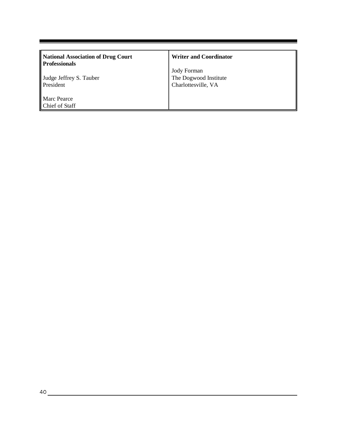| <b>National Association of Drug Court</b>   | <b>Writer and Coordinator</b> |
|---------------------------------------------|-------------------------------|
| <b>Professionals</b>                        | <b>Jody Forman</b>            |
| Judge Jeffrey S. Tauber                     | The Dogwood Institute         |
| President                                   | Charlottesville, VA           |
| <b>Marc</b> Pearce<br><b>Chief of Staff</b> |                               |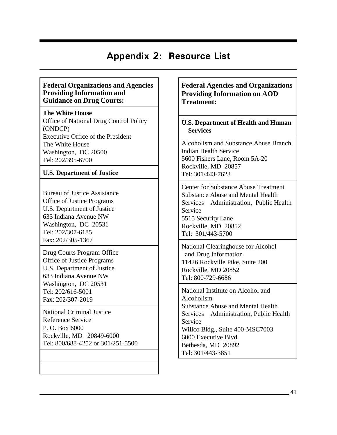# Appendix 2: Resource List

## **Providing Information and Guidance on Drug Courts:**

#### **The White House**

Office of National Drug Control Policy (ONDCP) Executive Office of the President The White House Washington, DC 20500 Tel: 202/395-6700

#### **U.S. Department of Justice**

Bureau of Justice Assistance Office of Justice Programs U.S. Department of Justice 633 Indiana Avenue NW Washington, DC 20531 Tel: 202/307-6185 Fax: 202/305-1367

Drug Courts Program Office Office of Justice Programs U.S. Department of Justice 633 Indiana Avenue NW Washington, DC 20531 Tel: 202/616-5001 Fax: 202/307-2019

National Criminal Justice Reference Service P. O. Box 6000 Rockville, MD 20849-6000 Tel: 800/688-4252 or 301/251-5500

#### **Federal Organizations and Agencies Federal Agencies and Organizations Providing Information on AOD Treatment:**

#### **U.S. Department of Health and Human Services**

Alcoholism and Substance Abuse Branch Indian Health Service 5600 Fishers Lane, Room 5A-20 Rockville, MD 20857 Tel: 301/443-7623

Center for Substance Abuse Treatment Substance Abuse and Mental Health Services Administration, Public Health Service 5515 Security Lane Rockville, MD 20852 Tel: 301/443-5700

National Clearinghouse for Alcohol and Drug Information 11426 Rockville Pike, Suite 200 Rockville, MD 20852 Tel: 800-729-6686

National Institute on Alcohol and Alcoholism Substance Abuse and Mental Health Services Administration, Public Health Service Willco Bldg., Suite 400-MSC7003 6000 Executive Blvd. Bethesda, MD 20892 Tel: 301/443-3851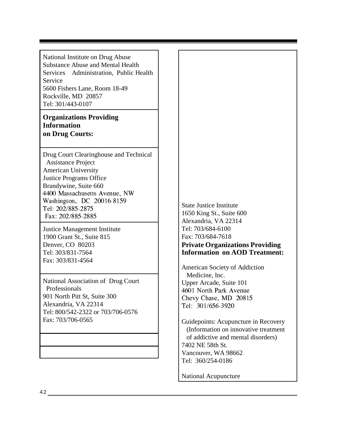National Institute on Drug Abuse Substance Abuse and Mental Health Services Administration, Public Health Service 5600 Fishers Lane, Room 18-49 Rockville, MD 20857 Tel: 301/443-0107

**Organizations Providing Information on Drug Courts:**

Drug Court Clearinghouse and Technical Assistance Project American University Justice Programs Office Brandywine, Suite 660 4400 Massachusetts Avenue, NW Washington, DC 20016-8159 Tel: 202/885-2875 Fax: 202/885-2885

Justice Management Institute 1900 Grant St., Suite 815 Denver, CO 80203 Tel: 303/831-7564 Fax: 303/831-4564

National Association of Drug Court Professionals 901 North Pitt St, Suite 300 Alexandria, VA 22314 Tel: 800/542-2322 or 703/706-0576 Fax: 703/706-0565

State Justice Institute 1650 King St., Suite 600 Alexandria, VA 22314 Tel: 703/684-6100 Fax: 703/684-7618 **Private Organizations Providing Information on AOD Treatment:**

American Society of Addiction Medicine, Inc. Upper Arcade, Suite 101 4601 North Park Avenue Chevy Chase, MD 20815 Tel: 301/656-3920

Guidepoints: Acupuncture in Recovery (Information on innovative treatment of addictive and mental disorders) 7402 NE 58th St. Vancouver, WA 98662 Tel: 360/254-0186

National Acupuncture

42